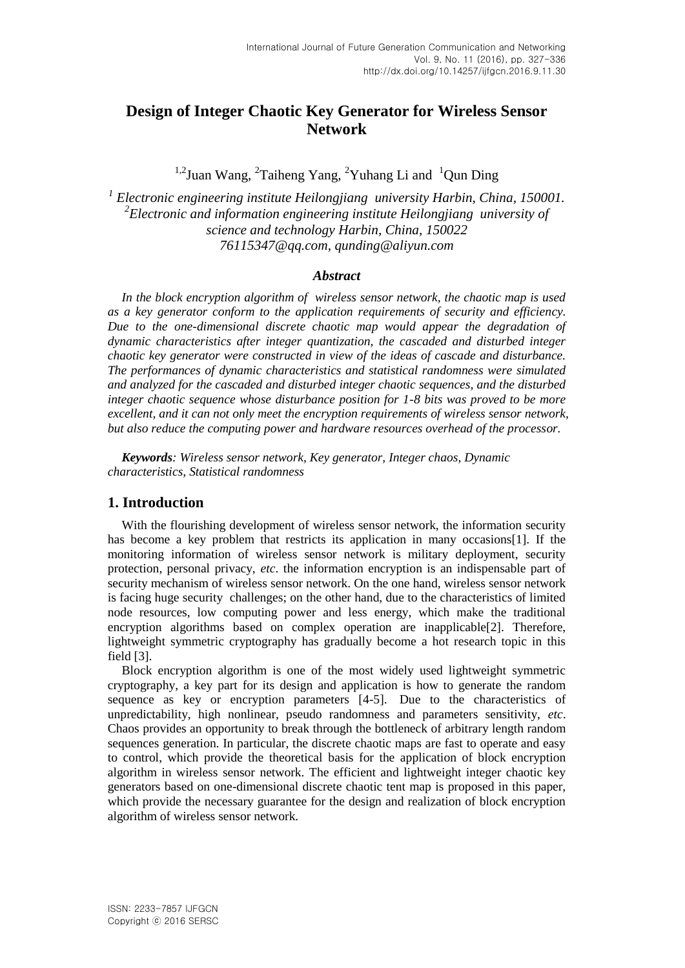# **Design of Integer Chaotic Key Generator for Wireless Sensor Network**

<sup>1,2</sup>Juan Wang, <sup>2</sup>Taiheng Yang, <sup>2</sup>Yuhang Li and <sup>1</sup>Qun Ding

*1 Electronic engineering institute Heilongjiang university Harbin, China, 150001. 2 Electronic and information engineering institute Heilongjiang university of science and technology Harbin, China, 150022 [76115347@qq.com,](mailto:76115347@qq.com) qunding@aliyun.com*

## *Abstract*

*In the block encryption algorithm of wireless sensor network, the chaotic map is used as a key generator conform to the application requirements of security and efficiency. Due to the one-dimensional discrete chaotic map would appear the degradation of dynamic characteristics after integer quantization, the cascaded and disturbed integer chaotic key generator were constructed in view of the ideas of cascade and disturbance. The performances of dynamic characteristics and statistical randomness were simulated and analyzed for the cascaded and disturbed integer chaotic sequences, and the disturbed integer chaotic sequence whose disturbance position for 1-8 bits was proved to be more excellent, and it can not only meet the encryption requirements of wireless sensor network, but also reduce the computing power and hardware resources overhead of the processor.*

*Keywords: Wireless sensor network, Key generator, Integer chaos, Dynamic characteristics, Statistical randomness* 

## **1. Introduction**

With the flourishing development of wireless sensor network, the information security has become a key problem that restricts its application in many occasions [1]. If the monitoring information of wireless sensor network is military deployment, security protection, personal privacy, *etc*. the information encryption is an indispensable part of security mechanism of wireless sensor network. On the one hand, wireless sensor network is facing huge security challenges; on the other hand, due to the characteristics of limited node resources, low computing power and less energy, which make the traditional encryption algorithms based on complex operation are inapplicable[2]. Therefore, lightweight symmetric cryptography has gradually become a hot research topic in this field [3].

Block encryption algorithm is one of the most widely used lightweight symmetric cryptography, a key part for its design and application is how to generate the random sequence as key or encryption parameters [4-5]. Due to the characteristics of unpredictability, high nonlinear, pseudo randomness and parameters sensitivity, *etc*. Chaos provides an opportunity to break through the bottleneck of arbitrary length random sequences generation. In particular, the discrete chaotic maps are fast to operate and easy to control, which provide the theoretical basis for the application of block encryption algorithm in wireless sensor network. The efficient and lightweight integer chaotic key generators based on one-dimensional discrete chaotic tent map is proposed in this paper, which provide the necessary guarantee for the design and realization of block encryption algorithm of wireless sensor network.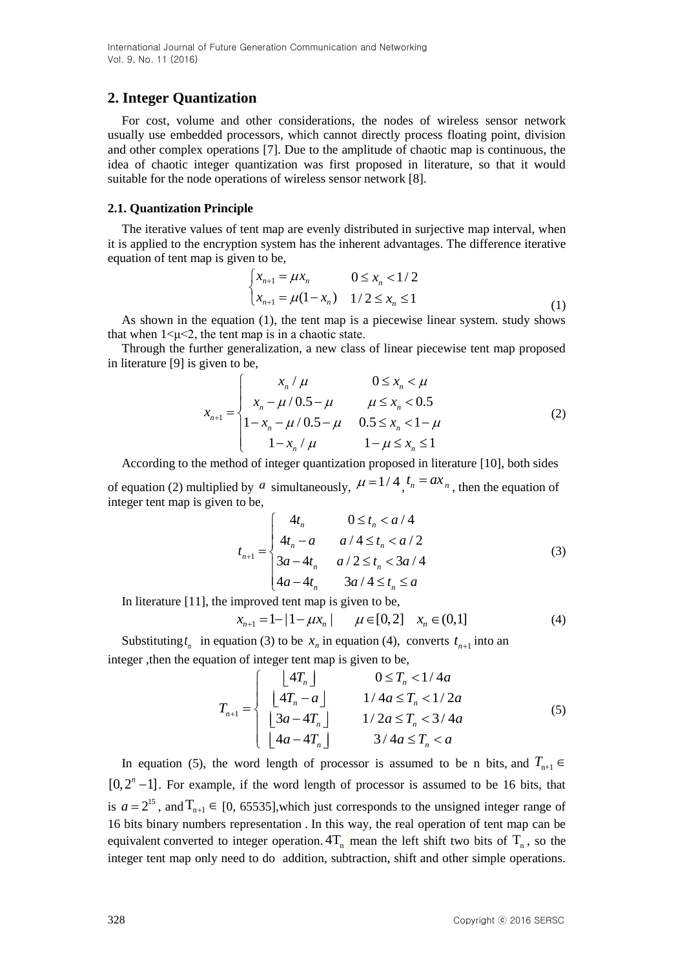## **2. Integer Quantization**

For cost, volume and other considerations, the nodes of wireless sensor network usually use embedded processors, which cannot directly process floating point, division and other complex operations [7]. Due to the amplitude of chaotic map is continuous, the idea of chaotic integer quantization was first proposed in literature, so that it would suitable for the node operations of wireless sensor network [8].

#### **2.1. Quantization Principle**

The iterative values of tent map are evenly distributed in surjective map interval, when it is applied to the encryption system has the inherent advantages. The difference iterative equation of tent map is given to be,

$$
\begin{cases} x_{n+1} = \mu x_n & 0 \le x_n < 1/2 \\ x_{n+1} = \mu (1 - x_n) & 1/2 \le x_n \le 1 \end{cases}
$$
 (1)

As shown in the equation (1), the tent map is a piecewise linear system. study shows that when  $1 \leq \mu \leq 2$ , the tent map is in a chaotic state.

Through the further generalization, a new class of linear piecewise tent map proposed in literature [9] is given to be,  $\mu$   $0 \le x_n < \mu$ be,<br>  $\int x_n / \mu$   $0 \le x_n < \mu$ 

n literature [9] is given to be,  
\n
$$
x_{n+1} = \begin{cases}\nx_n / \mu & 0 \le x_n < \mu \\
x_n - \mu / 0.5 - \mu & \mu \le x_n < 0.5 \\
1 - x_n - \mu / 0.5 - \mu & 0.5 \le x_n < 1 - \mu \\
1 - x_n / \mu & 1 - \mu \le x_n \le 1\n\end{cases}
$$
\n(2)

According to the method of integer quantization proposed in literature [10], both sides

of equation (2) multiplied by a simultaneously,  $\mu = 1/4$ ,  $t_n = ax_n$ , then the equation of integer tent map is given to be,

to be,

\n
$$
t_{n+1} = \begin{cases}\n4t_n & 0 \le t_n < a/4 \\
4t_n - a & a/4 \le t_n < a/2 \\
3a - 4t_n & a/2 \le t_n < 3a/4 \\
4a - 4t_n & 3a/4 \le t_n \le a\n\end{cases} \tag{3}
$$

In literature [11], the improved tent map is given to be,  
\n
$$
x_{n+1} = 1 - |1 - \mu x_n| \qquad \mu \in [0, 2] \quad x_n \in (0, 1]
$$
\n(4)

Substituting  $t_n$  in equation (3) to be  $x_n$  in equation (4), converts  $t_{n+1}$  into an

integer, then the equation of integer tent map is given to be,  
\n
$$
T_{n+1} = \begin{cases}\n\lfloor 4T_n \rfloor & 0 \le T_n < 1/4a \\
\lfloor 4T_n - a \rfloor & 1/4a \le T_n < 1/2a \\
\lfloor 3a - 4T_n \rfloor & 1/2a \le T_n < 3/4a \\
\lfloor 4a - 4T_n \rfloor & 3/4a \le T_n < a\n\end{cases}
$$
\n(5)

In equation (5), the word length of processor is assumed to be n bits, and  $T_{n+1} \in$  $[0,2<sup>n</sup>-1]$ . For example, if the word length of processor is assumed to be 16 bits, that is  $a = 2^{15}$ , and  $T_{n+1} \in [0, 65535]$ , which just corresponds to the unsigned integer range of 16 bits binary numbers representation . In this way, the real operation of tent map can be equivalent converted to integer operation.  $4T_n$  mean the left shift two bits of  $T_n$ , so the integer tent map only need to do addition, subtraction, shift and other simple operations.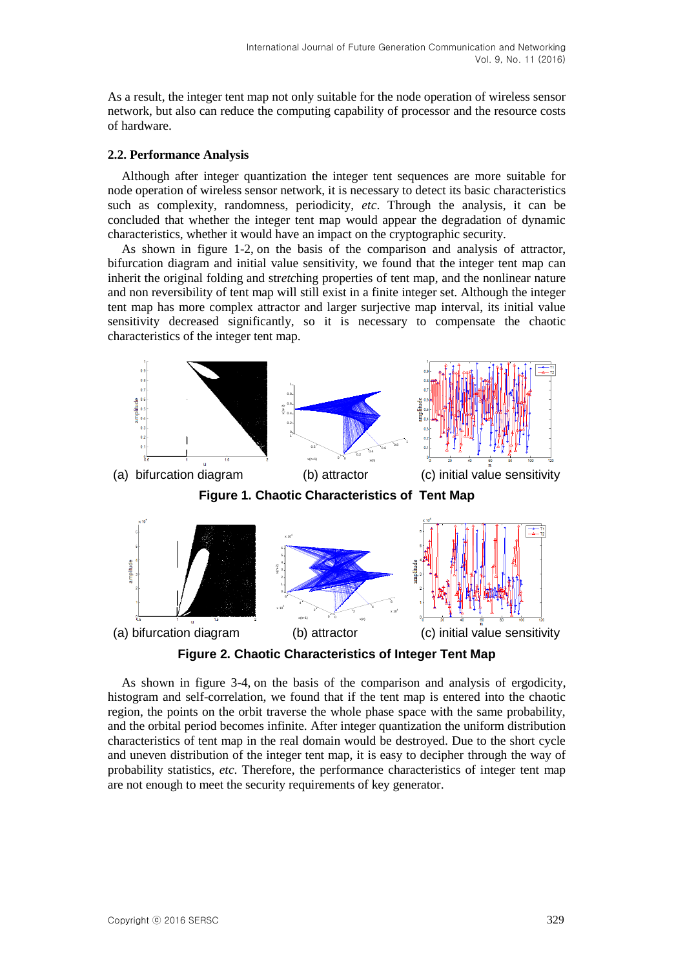As a result, the integer tent map not only suitable for the node operation of wireless sensor network, but also can reduce the computing capability of processor and the resource costs of hardware.

### **2.2. Performance Analysis**

Although after integer quantization the integer tent sequences are more suitable for node operation of wireless sensor network, it is necessary to detect its basic characteristics such as complexity, randomness, periodicity, *etc*. Through the analysis, it can be concluded that whether the integer tent map would appear the degradation of dynamic characteristics, whether it would have an impact on the cryptographic security.

As shown in figure 1-2, on the basis of the comparison and analysis of attractor, bifurcation diagram and initial value sensitivity, we found that the integer tent map can inherit the original folding and str*etc*hing properties of tent map, and the nonlinear nature and non reversibility of tent map will still exist in a finite integer set. Although the integer tent map has more complex attractor and larger surjective map interval, its initial value sensitivity decreased significantly, so it is necessary to compensate the chaotic characteristics of the integer tent map.



**Figure 2. Chaotic Characteristics of Integer Tent Map**

As shown in figure 3-4, on the basis of the comparison and analysis of ergodicity, histogram and self-correlation, we found that if the tent map is entered into the chaotic region, the points on the orbit traverse the whole phase space with the same probability, and the orbital period becomes infinite. After integer quantization the uniform distribution characteristics of tent map in the real domain would be destroyed. Due to the short cycle and uneven distribution of the integer tent map, it is easy to decipher through the way of probability statistics, *etc*. Therefore, the performance characteristics of integer tent map are not enough to meet the security requirements of key generator.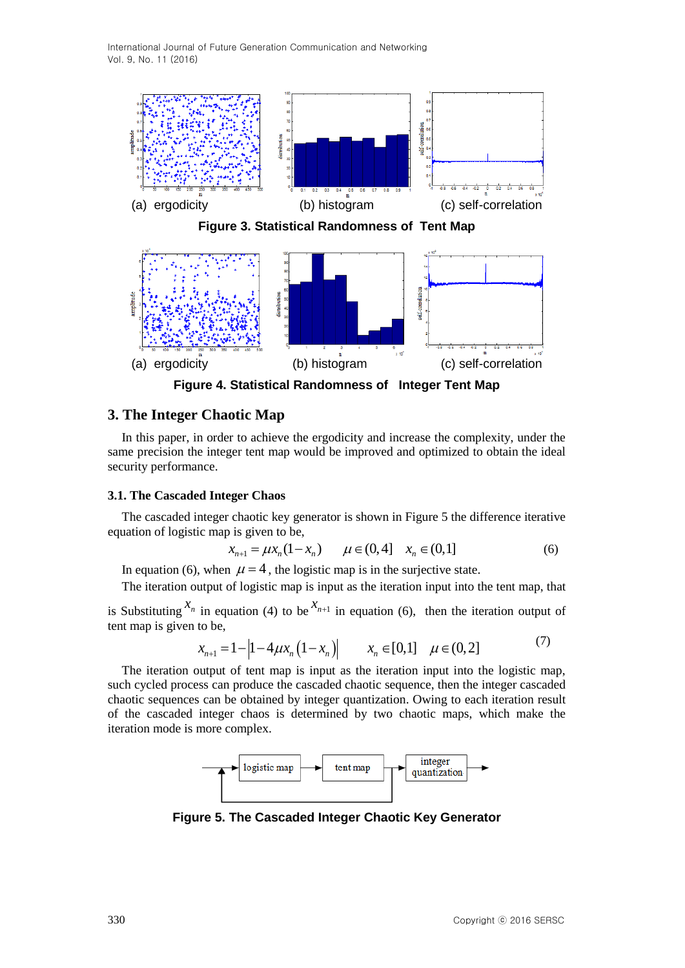

**Figure 4. Statistical Randomness of Integer Tent Map**

## **3. The Integer Chaotic Map**

In this paper, in order to achieve the ergodicity and increase the complexity, under the same precision the integer tent map would be improved and optimized to obtain the ideal security performance.

#### **3.1. The Cascaded Integer Chaos**

The cascaded integer chaotic key generator is shown in Figure 5 the difference iterative equation of logistic map is given to be, be,<br>  $(1 - x_n)$   $\mu \in (0, 4]$   $x_n \in (0,1]$ *x*<sub>n+1</sub> =  $\mu x_n (1 - x_n)$   $\mu \in (0, 4]$   $x_n \in (0, 1]$  (6)

$$
x_{n+1} = \mu x_n (1 - x_n) \qquad \mu \in (0, 4] \quad x_n \in (0, 1]
$$
 (6)

In equation (6), when  $\mu = 4$ , the logistic map is in the surjective state.

The iteration output of logistic map is input as the iteration input into the tent map, that

is Substituting  $x_n$  in equation (4) to be  $x_{n+1}$  in equation (6), then the iteration output of tent map is given to be,

$$
x_{n+1} = 1 - |1 - 4\mu x_n (1 - x_n)| \qquad x_n \in [0,1] \quad \mu \in (0,2]
$$
 (7)

The iteration output of tent map is input as the iteration input into the logistic map, such cycled process can produce the cascaded chaotic sequence, then the integer cascaded chaotic sequences can be obtained by integer quantization. Owing to each iteration result of the cascaded integer chaos is determined by two chaotic maps, which make the iteration mode is more complex.



**Figure 5. The Cascaded Integer Chaotic Key Generator**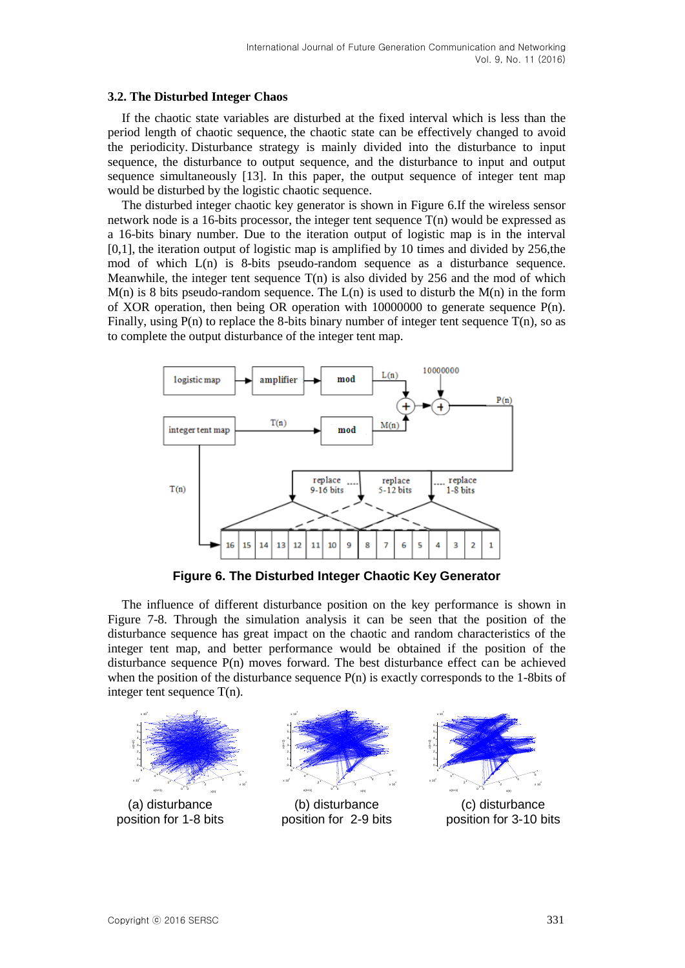### **3.2. The Disturbed Integer Chaos**

If the chaotic state variables are disturbed at the fixed interval which is less than the period length of chaotic sequence, the chaotic state can be effectively changed to avoid the periodicity. Disturbance strategy is mainly divided into the disturbance to input sequence, the disturbance to output sequence, and the disturbance to input and output sequence simultaneously [13]. In this paper, the output sequence of integer tent map would be disturbed by the logistic chaotic sequence.

The disturbed integer chaotic key generator is shown in Figure 6.If the wireless sensor network node is a 16-bits processor, the integer tent sequence T(n) would be expressed as a 16-bits binary number. Due to the iteration output of logistic map is in the interval  $[0,1]$ , the iteration output of logistic map is amplified by 10 times and divided by 256, the mod of which L(n) is 8-bits pseudo-random sequence as a disturbance sequence. Meanwhile, the integer tent sequence  $T(n)$  is also divided by 256 and the mod of which  $M(n)$  is 8 bits pseudo-random sequence. The  $L(n)$  is used to disturb the  $M(n)$  in the form of XOR operation, then being OR operation with 10000000 to generate sequence P(n). Finally, using  $P(n)$  to replace the 8-bits binary number of integer tent sequence  $T(n)$ , so as to complete the output disturbance of the integer tent map.



**Figure 6. The Disturbed Integer Chaotic Key Generator**

The influence of different disturbance position on the key performance is shown in Figure 7-8. Through the simulation analysis it can be seen that the position of the disturbance sequence has great impact on the chaotic and random characteristics of the integer tent map, and better performance would be obtained if the position of the disturbance sequence P(n) moves forward. The best disturbance effect can be achieved when the position of the disturbance sequence  $P(n)$  is exactly corresponds to the 1-8bits of integer tent sequence T(n).

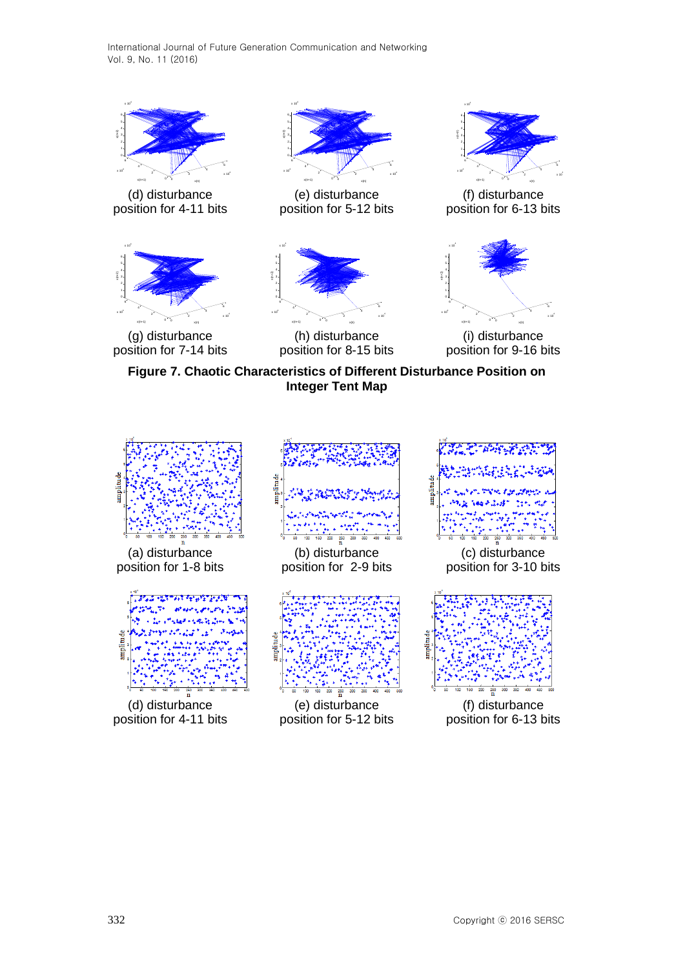

(d) disturbance position for 4-11 bits



(g) disturbance position for 7-14 bits



(e) disturbance position for 5-12 bits



(h) disturbance position for 8-15 bits



(f) disturbance position for 6-13 bits



(i) disturbance position for 9-16 bits

**Figure 7. Chaotic Characteristics of Different Disturbance Position on Integer Tent Map**

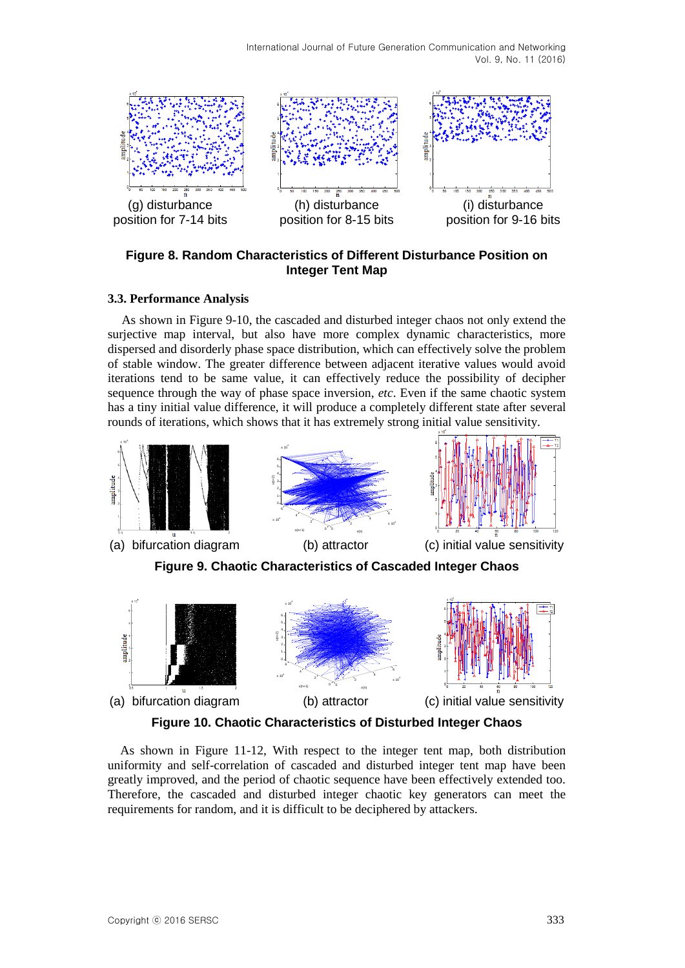

## **Figure 8. Random Characteristics of Different Disturbance Position on Integer Tent Map**

## **3.3. Performance Analysis**

As shown in Figure 9-10, the cascaded and disturbed integer chaos not only extend the surjective map interval, but also have more complex dynamic characteristics, more dispersed and disorderly phase space distribution, which can effectively solve the problem of stable window. The greater difference between adjacent iterative values would avoid iterations tend to be same value, it can effectively reduce the possibility of decipher sequence through the way of phase space inversion, *etc*. Even if the same chaotic system has a tiny initial value difference, it will produce a completely different state after several



**Figure 10. Chaotic Characteristics of Disturbed Integer Chaos**

As shown in Figure 11-12, With respect to the integer tent map, both distribution uniformity and self-correlation of cascaded and disturbed integer tent map have been greatly improved, and the period of chaotic sequence have been effectively extended too. Therefore, the cascaded and disturbed integer chaotic key generators can meet the requirements for random, and it is difficult to be deciphered by attackers.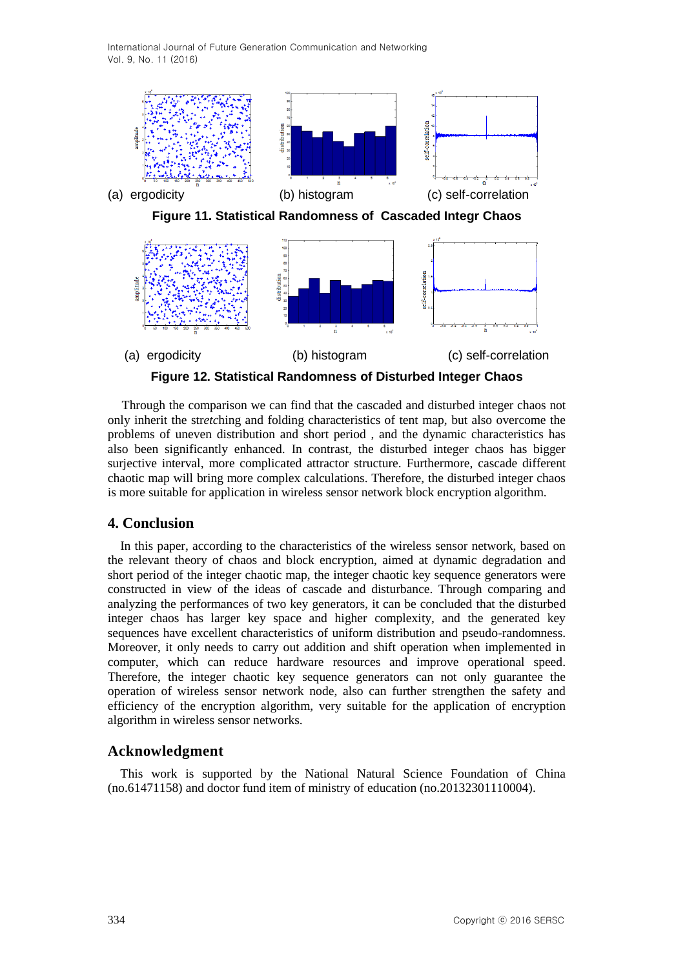

(a) ergodicity (b) histogram (c) self-correlation **Figure 12. Statistical Randomness of Disturbed Integer Chaos**

Through the comparison we can find that the cascaded and disturbed integer chaos not only inherit the str*etc*hing and folding characteristics of tent map, but also overcome the problems of uneven distribution and short period , and the dynamic characteristics has also been significantly enhanced. In contrast, the disturbed integer chaos has bigger surjective interval, more complicated attractor structure. Furthermore, cascade different chaotic map will bring more complex calculations. Therefore, the disturbed integer chaos is more suitable for application in wireless sensor network block encryption algorithm.

## **4. Conclusion**

In this paper, according to the characteristics of the wireless sensor network, based on the relevant theory of chaos and block encryption, aimed at dynamic degradation and short period of the integer chaotic map, the integer chaotic key sequence generators were constructed in view of the ideas of cascade and disturbance. Through comparing and analyzing the performances of two key generators, it can be concluded that the disturbed integer chaos has larger key space and higher complexity, and the generated key sequences have excellent characteristics of uniform distribution and pseudo-randomness. Moreover, it only needs to carry out addition and shift operation when implemented in computer, which can reduce hardware resources and improve operational speed. Therefore, the integer chaotic key sequence generators can not only guarantee the operation of wireless sensor network node, also can further strengthen the safety and efficiency of the encryption algorithm, very suitable for the application of encryption algorithm in wireless sensor networks.

## **Acknowledgment**

This work is supported by the National Natural Science Foundation of China (no.61471158) and doctor fund item of ministry of education (no.20132301110004).